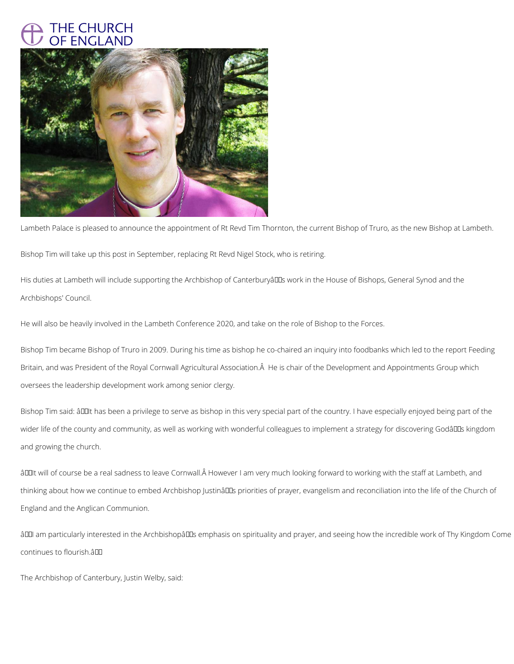## THE CHURCH OF ENGLAND



Lambeth Palace is pleased to announce the appointment of Rt Revd Tim Thornton, the current Bishop of Truro, as the new Bishop at Lambeth.

Bishop Tim will take up this post in September, replacing Rt Revd Nigel Stock, who is retiring.

His duties at Lambeth will include supporting the Archbishop of CanterburyâlDs work in the House of Bishops, General Synod and the Archbishops' Council.

He will also be heavily involved in the Lambeth Conference 2020, and take on the role of Bishop to the Forces.

Bishop Tim said: âDOIIt has been a privilege to serve as bishop in this very special part of the country. I have especially enjoyed being part of the wider life of the county and community, as well as working with wonderful colleagues to implement a strategy for discovering Godâllas kingdom and growing the church.

âDDIt will of course be a real sadness to leave Cornwall. However I am very much looking forward to working with the staff at Lambeth, and thinking about how we continue to embed Archbishop Justinâlls priorities of prayer, evangelism and reconciliation into the life of the Church of

Bishop Tim became Bishop of Truro in 2009. During his time as bishop he co-chaired an inquiry into foodbanks which led to the report Feeding Britain, and was President of the Royal Cornwall Agricultural Association. He is chair of the Development and Appointments Group which oversees the leadership development work among senior clergy.

England and the Anglican Communion.

âDDI am particularly interested in the ArchbishopâDDs emphasis on spirituality and prayer, and seeing how the incredible work of Thy Kingdom Come

continues to flourish.â

The Archbishop of Canterbury, Justin Welby, said: